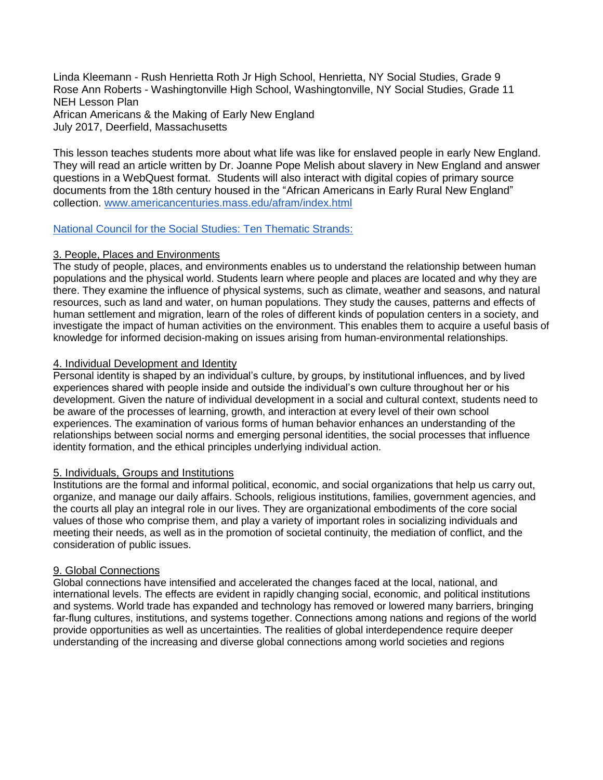Linda Kleemann - Rush Henrietta Roth Jr High School, Henrietta, NY Social Studies, Grade 9 Rose Ann Roberts - Washingtonville High School, Washingtonville, NY Social Studies, Grade 11 NEH Lesson Plan African Americans & the Making of Early New England July 2017, Deerfield, Massachusetts

This lesson teaches students more about what life was like for enslaved people in early New England. They will read an article written by Dr. Joanne Pope Melish about slavery in New England and answer questions in a WebQuest format. Students will also interact with digital copies of primary source documents from the 18th century housed in the "African Americans in Early Rural New England" collection. [www.americancenturies.mass.edu/afram/index.html](http://www.americancenturies.mass.edu/afram/index.html)

#### [National Council for the Social Studies: Ten Thematic Strands:](https://www.learner.org/workshops/socialstudies/pdf/session4/4.NCSSThemes.pdf)

# 3. People, Places and Environments

The study of people, places, and environments enables us to understand the relationship between human populations and the physical world. Students learn where people and places are located and why they are there. They examine the influence of physical systems, such as climate, weather and seasons, and natural resources, such as land and water, on human populations. They study the causes, patterns and effects of human settlement and migration, learn of the roles of different kinds of population centers in a society, and investigate the impact of human activities on the environment. This enables them to acquire a useful basis of knowledge for informed decision-making on issues arising from human-environmental relationships.

# 4. Individual Development and Identity

Personal identity is shaped by an individual's culture, by groups, by institutional influences, and by lived experiences shared with people inside and outside the individual's own culture throughout her or his development. Given the nature of individual development in a social and cultural context, students need to be aware of the processes of learning, growth, and interaction at every level of their own school experiences. The examination of various forms of human behavior enhances an understanding of the relationships between social norms and emerging personal identities, the social processes that influence identity formation, and the ethical principles underlying individual action.

# 5. Individuals, Groups and Institutions

Institutions are the formal and informal political, economic, and social organizations that help us carry out, organize, and manage our daily affairs. Schools, religious institutions, families, government agencies, and the courts all play an integral role in our lives. They are organizational embodiments of the core social values of those who comprise them, and play a variety of important roles in socializing individuals and meeting their needs, as well as in the promotion of societal continuity, the mediation of conflict, and the consideration of public issues.

# 9. Global Connections

Global connections have intensified and accelerated the changes faced at the local, national, and international levels. The effects are evident in rapidly changing social, economic, and political institutions and systems. World trade has expanded and technology has removed or lowered many barriers, bringing far-flung cultures, institutions, and systems together. Connections among nations and regions of the world provide opportunities as well as uncertainties. The realities of global interdependence require deeper understanding of the increasing and diverse global connections among world societies and regions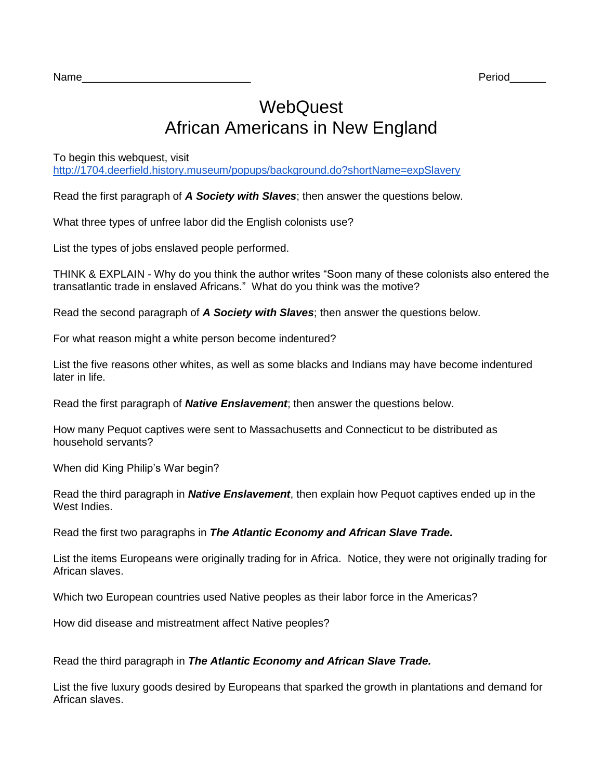$\mathsf{Name}$  . The contract of the contract of the contract of the contract of the contract of the contract of the contract of the contract of the contract of the contract of the contract of the contract of the contract of th

# **WebQuest** African Americans in New England

To begin this webquest, visit

<http://1704.deerfield.history.museum/popups/background.do?shortName=expSlavery>

Read the first paragraph of *A Society with Slaves*; then answer the questions below.

What three types of unfree labor did the English colonists use?

List the types of jobs enslaved people performed.

THINK & EXPLAIN - Why do you think the author writes "Soon many of these colonists also entered the transatlantic trade in enslaved Africans." What do you think was the motive?

Read the second paragraph of *A Society with Slaves*; then answer the questions below.

For what reason might a white person become indentured?

List the five reasons other whites, as well as some blacks and Indians may have become indentured later in life.

Read the first paragraph of *Native Enslavement*; then answer the questions below.

How many Pequot captives were sent to Massachusetts and Connecticut to be distributed as household servants?

When did King Philip's War begin?

Read the third paragraph in *Native Enslavement*, then explain how Pequot captives ended up in the West Indies.

Read the first two paragraphs in *The Atlantic Economy and African Slave Trade.*

List the items Europeans were originally trading for in Africa. Notice, they were not originally trading for African slaves.

Which two European countries used Native peoples as their labor force in the Americas?

How did disease and mistreatment affect Native peoples?

Read the third paragraph in *The Atlantic Economy and African Slave Trade.*

List the five luxury goods desired by Europeans that sparked the growth in plantations and demand for African slaves.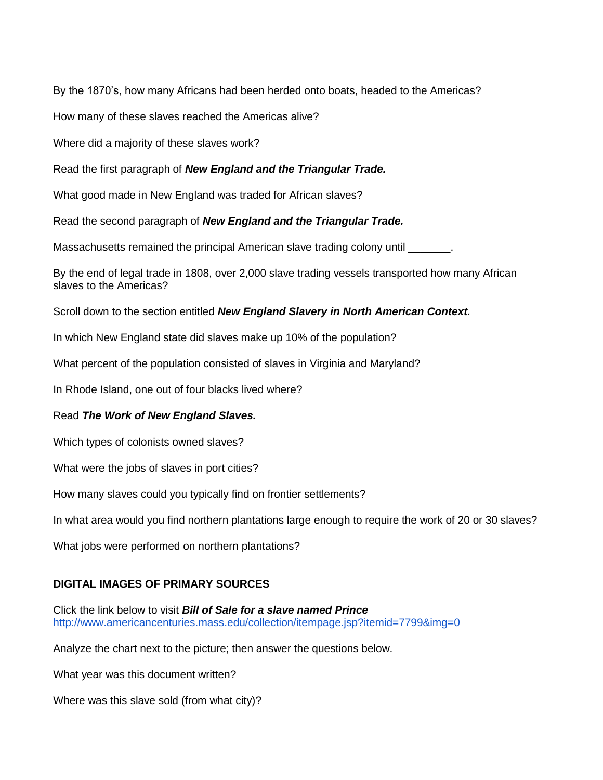By the 1870's, how many Africans had been herded onto boats, headed to the Americas?

How many of these slaves reached the Americas alive?

Where did a majority of these slaves work?

Read the first paragraph of *New England and the Triangular Trade.*

What good made in New England was traded for African slaves?

Read the second paragraph of *New England and the Triangular Trade.*

Massachusetts remained the principal American slave trading colony until \_\_\_\_\_\_\_.

By the end of legal trade in 1808, over 2,000 slave trading vessels transported how many African slaves to the Americas?

Scroll down to the section entitled *New England Slavery in North American Context.*

In which New England state did slaves make up 10% of the population?

What percent of the population consisted of slaves in Virginia and Maryland?

In Rhode Island, one out of four blacks lived where?

# Read *The Work of New England Slaves.*

Which types of colonists owned slaves?

What were the jobs of slaves in port cities?

How many slaves could you typically find on frontier settlements?

In what area would you find northern plantations large enough to require the work of 20 or 30 slaves?

What jobs were performed on northern plantations?

# **DIGITAL IMAGES OF PRIMARY SOURCES**

Click the link below to visit *Bill of Sale for a slave named Prince* <http://www.americancenturies.mass.edu/collection/itempage.jsp?itemid=7799&img=0>

Analyze the chart next to the picture; then answer the questions below.

What year was this document written?

Where was this slave sold (from what city)?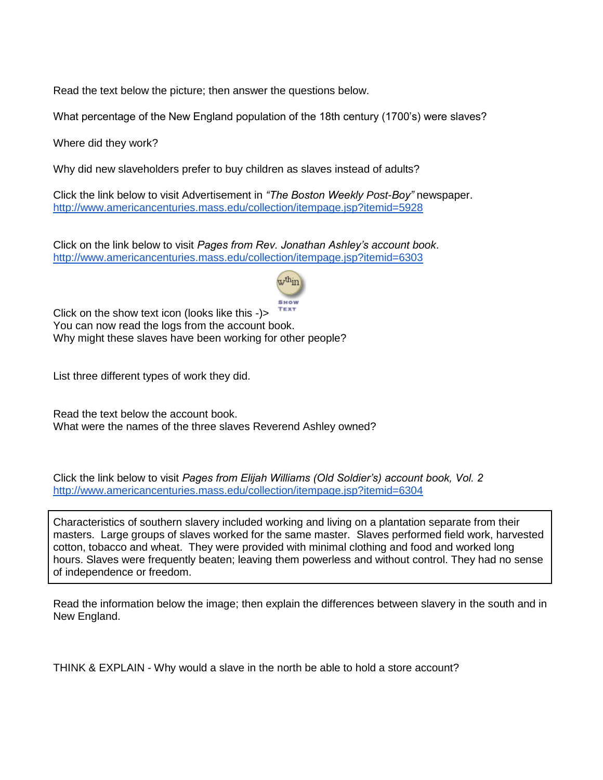Read the text below the picture; then answer the questions below.

What percentage of the New England population of the 18th century (1700's) were slaves?

Where did they work?

Why did new slaveholders prefer to buy children as slaves instead of adults?

Click the link below to visit Advertisement in *"The Boston Weekly Post-Boy"* newspaper. <http://www.americancenturies.mass.edu/collection/itempage.jsp?itemid=5928>

Click on the link below to visit *Pages from Rev. Jonathan Ashley's account book*. <http://www.americancenturies.mass.edu/collection/itempage.jsp?itemid=6303>



Click on the show text icon (looks like this -)> You can now read the logs from the account book. Why might these slaves have been working for other people?

List three different types of work they did.

Read the text below the account book. What were the names of the three slaves Reverend Ashley owned?

Click the link below to visit *Pages from Elijah Williams (Old Soldier's) account book, Vol. 2* <http://www.americancenturies.mass.edu/collection/itempage.jsp?itemid=6304>

Characteristics of southern slavery included working and living on a plantation separate from their masters. Large groups of slaves worked for the same master. Slaves performed field work, harvested cotton, tobacco and wheat. They were provided with minimal clothing and food and worked long hours. Slaves were frequently beaten; leaving them powerless and without control. They had no sense of independence or freedom.

Read the information below the image; then explain the differences between slavery in the south and in New England.

THINK & EXPLAIN - Why would a slave in the north be able to hold a store account?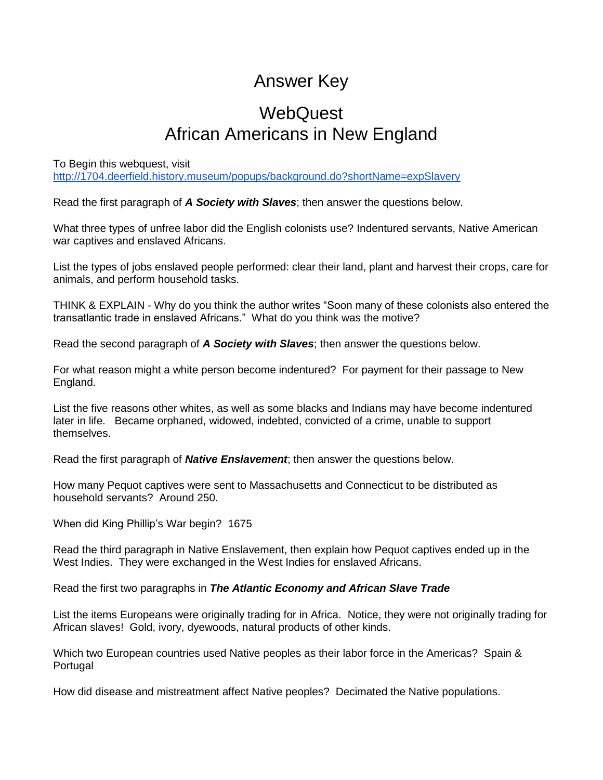# Answer Key

# **WebQuest** African Americans in New England

To Begin this webquest, visit <http://1704.deerfield.history.museum/popups/background.do?shortName=expSlavery>

Read the first paragraph of *A Society with Slaves*; then answer the questions below.

What three types of unfree labor did the English colonists use? Indentured servants, Native American war captives and enslaved Africans.

List the types of jobs enslaved people performed: clear their land, plant and harvest their crops, care for animals, and perform household tasks.

THINK & EXPLAIN - Why do you think the author writes "Soon many of these colonists also entered the transatlantic trade in enslaved Africans." What do you think was the motive?

Read the second paragraph of *A Society with Slaves*; then answer the questions below.

For what reason might a white person become indentured? For payment for their passage to New England.

List the five reasons other whites, as well as some blacks and Indians may have become indentured later in life. Became orphaned, widowed, indebted, convicted of a crime, unable to support themselves.

Read the first paragraph of *Native Enslavement*; then answer the questions below.

How many Pequot captives were sent to Massachusetts and Connecticut to be distributed as household servants? Around 250.

When did King Phillip's War begin? 1675

Read the third paragraph in Native Enslavement, then explain how Pequot captives ended up in the West Indies. They were exchanged in the West Indies for enslaved Africans.

Read the first two paragraphs in *The Atlantic Economy and African Slave Trade*

List the items Europeans were originally trading for in Africa. Notice, they were not originally trading for African slaves! Gold, ivory, dyewoods, natural products of other kinds.

Which two European countries used Native peoples as their labor force in the Americas? Spain & Portugal

How did disease and mistreatment affect Native peoples? Decimated the Native populations.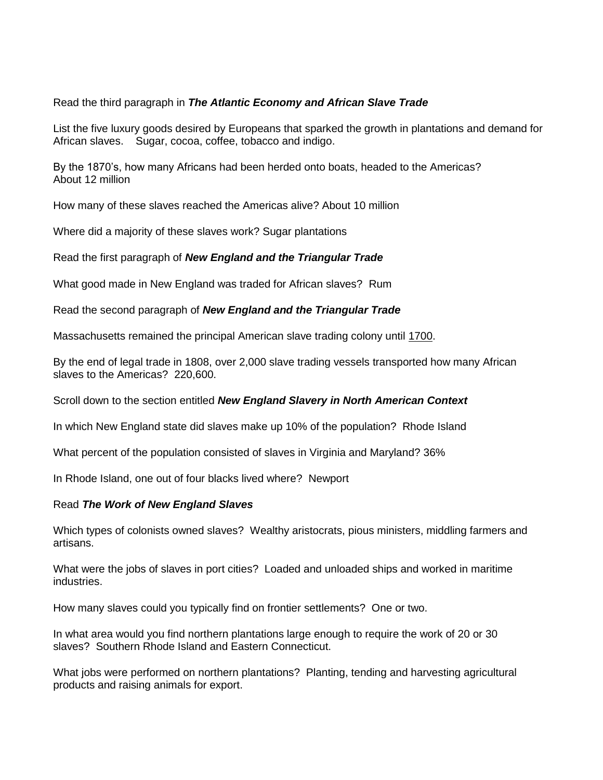# Read the third paragraph in *The Atlantic Economy and African Slave Trade*

List the five luxury goods desired by Europeans that sparked the growth in plantations and demand for African slaves. Sugar, cocoa, coffee, tobacco and indigo.

By the 1870's, how many Africans had been herded onto boats, headed to the Americas? About 12 million

How many of these slaves reached the Americas alive? About 10 million

Where did a majority of these slaves work? Sugar plantations

Read the first paragraph of *New England and the Triangular Trade* 

What good made in New England was traded for African slaves? Rum

Read the second paragraph of *New England and the Triangular Trade* 

Massachusetts remained the principal American slave trading colony until 1700.

By the end of legal trade in 1808, over 2,000 slave trading vessels transported how many African slaves to the Americas? 220,600.

Scroll down to the section entitled *New England Slavery in North American Context*

In which New England state did slaves make up 10% of the population? Rhode Island

What percent of the population consisted of slaves in Virginia and Maryland? 36%

In Rhode Island, one out of four blacks lived where? Newport

# Read *The Work of New England Slaves*

Which types of colonists owned slaves? Wealthy aristocrats, pious ministers, middling farmers and artisans.

What were the jobs of slaves in port cities? Loaded and unloaded ships and worked in maritime industries.

How many slaves could you typically find on frontier settlements? One or two.

In what area would you find northern plantations large enough to require the work of 20 or 30 slaves? Southern Rhode Island and Eastern Connecticut.

What jobs were performed on northern plantations? Planting, tending and harvesting agricultural products and raising animals for export.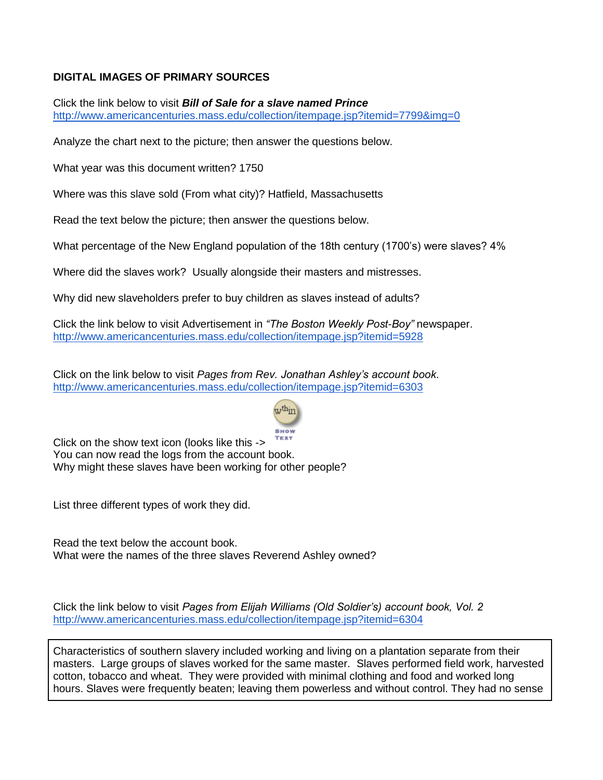# **DIGITAL IMAGES OF PRIMARY SOURCES**

Click the link below to visit *Bill of Sale for a slave named Prince* <http://www.americancenturies.mass.edu/collection/itempage.jsp?itemid=7799&img=0>

Analyze the chart next to the picture; then answer the questions below.

What year was this document written? 1750

Where was this slave sold (From what city)? Hatfield, Massachusetts

Read the text below the picture; then answer the questions below.

What percentage of the New England population of the 18th century (1700's) were slaves? 4%

Where did the slaves work? Usually alongside their masters and mistresses.

Why did new slaveholders prefer to buy children as slaves instead of adults?

Click the link below to visit Advertisement in *"The Boston Weekly Post-Boy"* newspaper. <http://www.americancenturies.mass.edu/collection/itempage.jsp?itemid=5928>

Click on the link below to visit *Pages from Rev. Jonathan Ashley's account book*. <http://www.americancenturies.mass.edu/collection/itempage.jsp?itemid=6303>



Click on the show text icon (looks like this -> You can now read the logs from the account book. Why might these slaves have been working for other people?

List three different types of work they did.

Read the text below the account book. What were the names of the three slaves Reverend Ashley owned?

Click the link below to visit *Pages from Elijah Williams (Old Soldier's) account book, Vol. 2* <http://www.americancenturies.mass.edu/collection/itempage.jsp?itemid=6304>

Characteristics of southern slavery included working and living on a plantation separate from their masters. Large groups of slaves worked for the same master. Slaves performed field work, harvested cotton, tobacco and wheat. They were provided with minimal clothing and food and worked long hours. Slaves were frequently beaten; leaving them powerless and without control. They had no sense